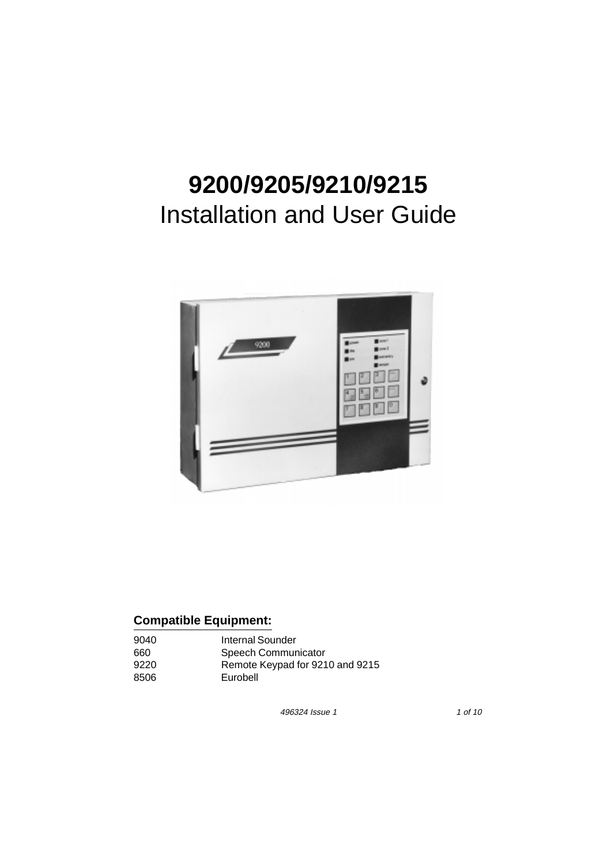# **9200/9205/9210/9215**  Installation and User Guide



# **Compatible Equipment:**

| 9040 | Internal Sounder                |
|------|---------------------------------|
| 660  | Speech Communicator             |
| 9220 | Remote Keypad for 9210 and 9215 |
| 8506 | Eurobell                        |

496324 Issue 1 1 of 10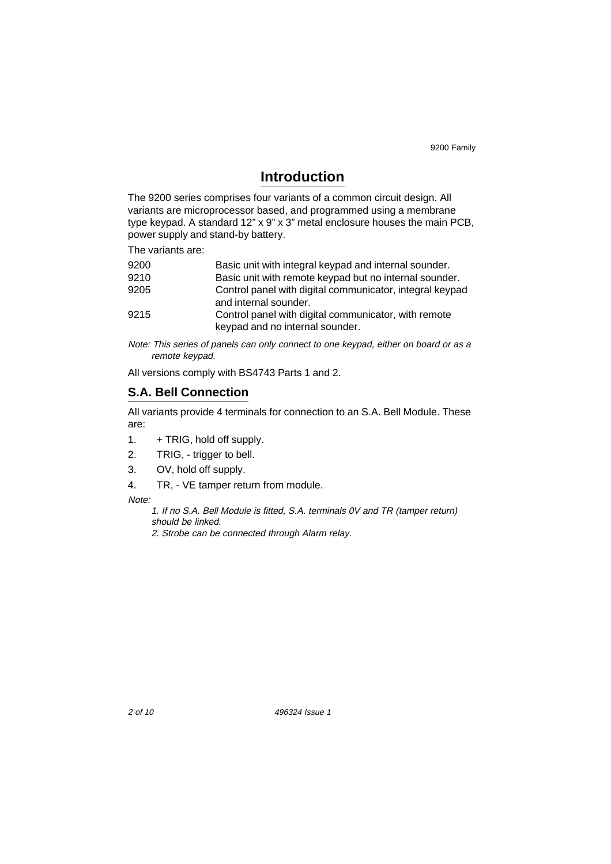# **Introduction**

The 9200 series comprises four variants of a common circuit design. All variants are microprocessor based, and programmed using a membrane type keypad. A standard 12" x 9" x 3" metal enclosure houses the main PCB, power supply and stand-by battery.

The variants are:

| 9200 | Basic unit with integral keypad and internal sounder.                                   |
|------|-----------------------------------------------------------------------------------------|
| 9210 | Basic unit with remote keypad but no internal sounder.                                  |
| 9205 | Control panel with digital communicator, integral keypad<br>and internal sounder.       |
| 9215 | Control panel with digital communicator, with remote<br>keypad and no internal sounder. |

Note: This series of panels can only connect to one keypad, either on board or as a remote keypad.

All versions comply with BS4743 Parts 1 and 2.

## **S.A. Bell Connection**

All variants provide 4 terminals for connection to an S.A. Bell Module. These are:

- 1. + TRIG, hold off supply.
- 2. TRIG, trigger to bell.
- 3. OV, hold off supply.
- 4. TR, VE tamper return from module.

Note:

1. If no S.A. Bell Module is fitted, S.A. terminals 0V and TR (tamper return) should be linked.

2. Strobe can be connected through Alarm relay.

2 of 10 496324 Issue 1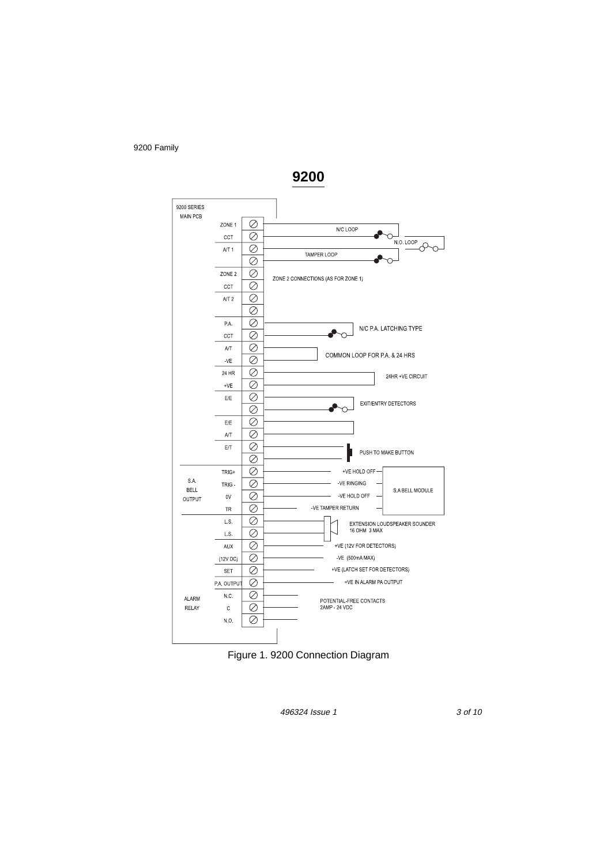

**9200** 



496324 Issue 1 3 of 10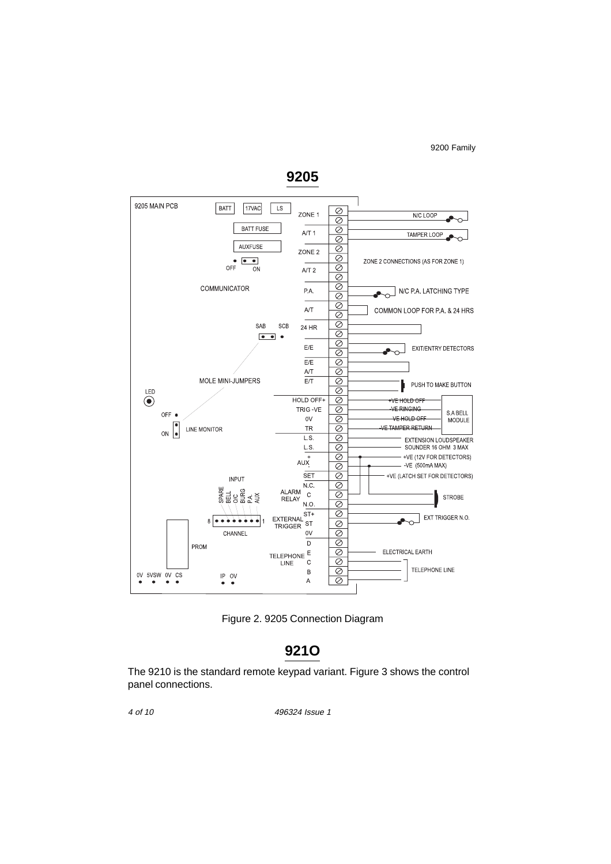

**9205** 

Figure 2. 9205 Connection Diagram

# **921O**

The 9210 is the standard remote keypad variant. Figure 3 shows the control panel connections.

4 of 10

496324 Issue 1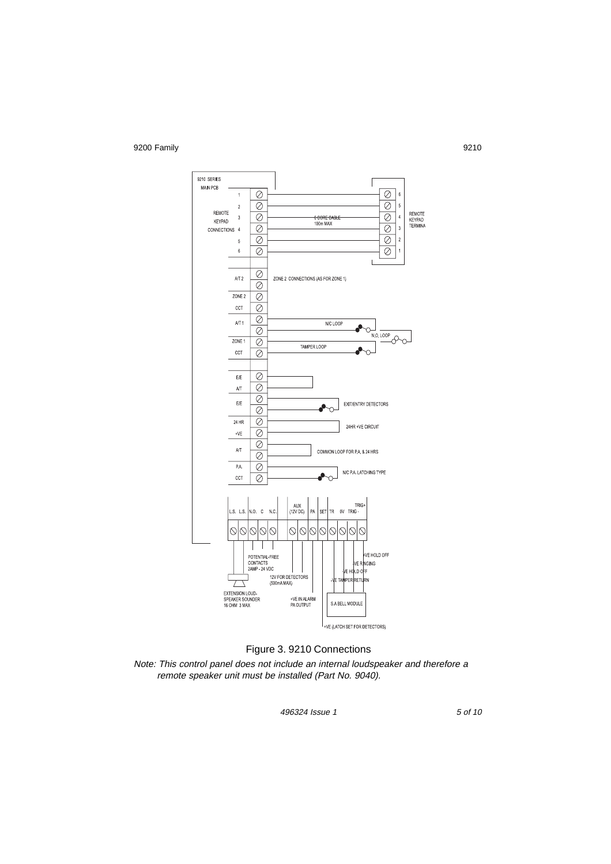

#### Figure 3. 9210 Connections

Note: This control panel does not include an internal loudspeaker and therefore a remote speaker unit must be installed (Part No. 9040).

496324 Issue 1

5 of 10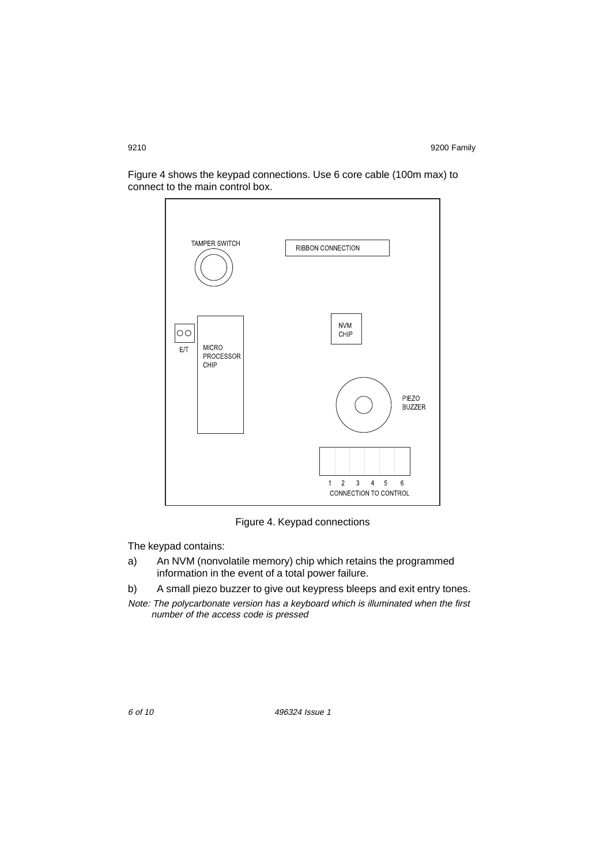Figure 4 shows the keypad connections. Use 6 core cable (100m max) to connect to the main control box.



Figure 4. Keypad connections

The keypad contains:

- a) An NVM (nonvolatile memory) chip which retains the programmed information in the event of a total power failure.
- b) A small piezo buzzer to give out keypress bleeps and exit entry tones.
- Note: The polycarbonate version has a keyboard which is illuminated when the first number of the access code is pressed

6 of 10 496324 Issue 1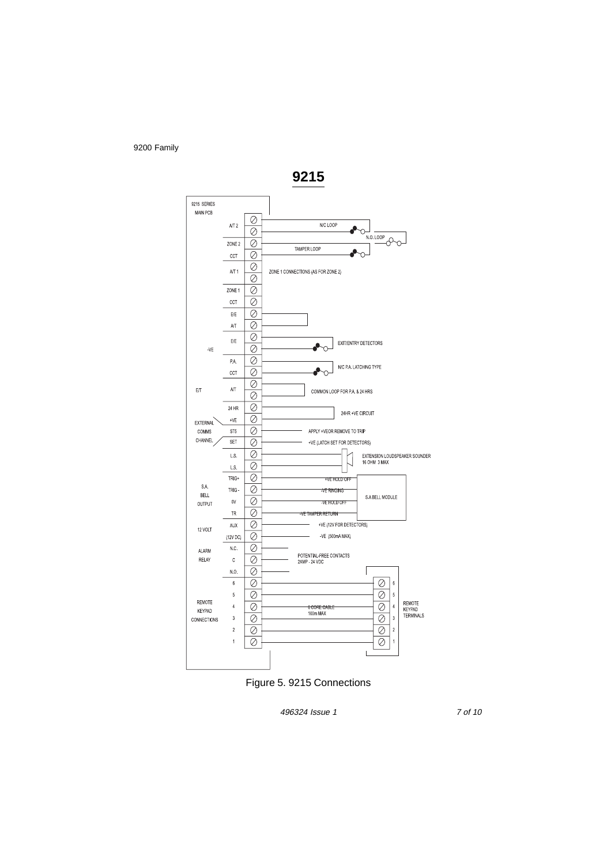

Figure 5. 9215 Connections

496324 Issue 1

7 of 10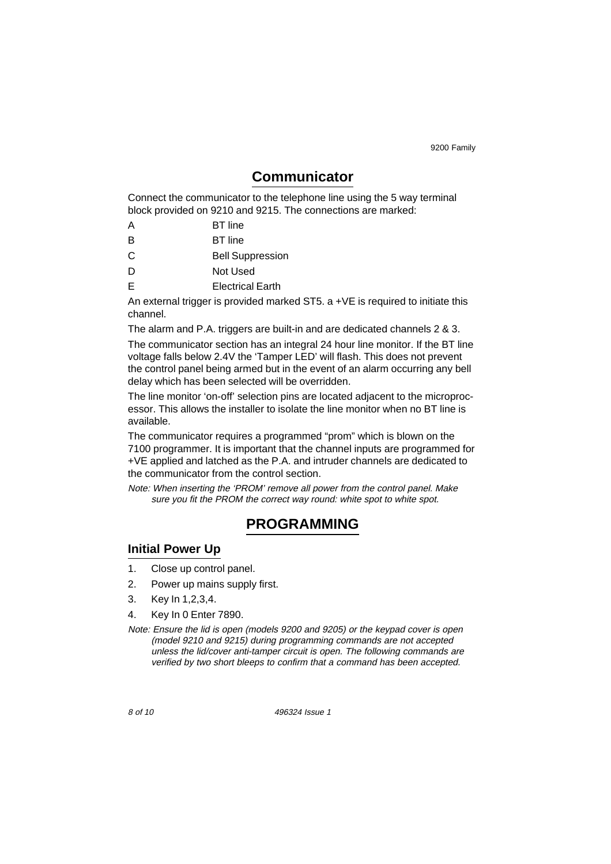# **Communicator**

Connect the communicator to the telephone line using the 5 way terminal block provided on 9210 and 9215. The connections are marked:

- A BT line
- B BT line
- Bell Suppression C
- D Not Used
- E Electrical Earth

An external trigger is provided marked ST5. a +VE is required to initiate this channel.

The alarm and P.A. triggers are built-in and are dedicated channels 2 & 3. The communicator section has an integral 24 hour line monitor. If the BT line voltage falls below 2.4V the 'Tamper LED' will flash. This does not prevent the control panel being armed but in the event of an alarm occurring any bell delay which has been selected will be overridden.

The line monitor 'on-off' selection pins are located adjacent to the microprocessor. This allows the installer to isolate the line monitor when no BT line is available.

The communicator requires a programmed "prom" which is blown on the 7100 programmer. It is important that the channel inputs are programmed for +VE applied and latched as the P.A. and intruder channels are dedicated to the communicator from the control section.

Note: When inserting the 'PROM' remove all power from the control panel. Make sure you fit the PROM the correct way round: white spot to white spot.

# **PROGRAMMING**

## **Initial Power Up**

- 1. Close up control panel.
- 2. Power up mains supply first.
- 3. Key In 1,2,3,4.
- 4. Key In 0 Enter 7890.
- Note: Ensure the lid is open (models 9200 and 9205) or the keypad cover is open (model 9210 and 9215) during programming commands are not accepted unless the lid/cover anti-tamper circuit is open. The following commands are verified by two short bleeps to confirm that a command has been accepted.

8 of 10 496324 Issue 1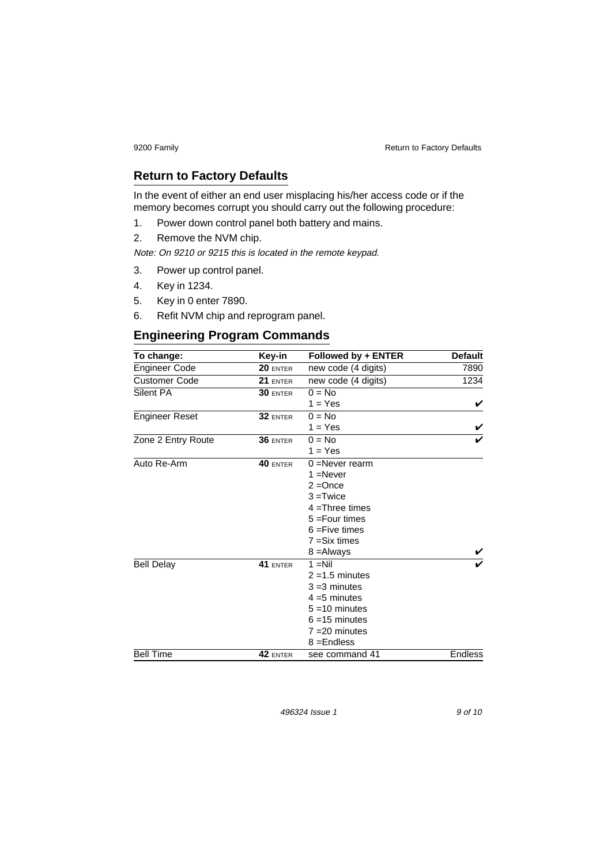9200 Family **Return to Factory Defaults Return to Factory Defaults** 

# **Return to Factory Defaults**

In the event of either an end user misplacing his/her access code or if the memory becomes corrupt you should carry out the following procedure:

- 1. Power down control panel both battery and mains.
- 2. Remove the NVM chip.

Note: On 9210 or 9215 this is located in the remote keypad.

- 3. Power up control panel.
- 4. Key in 1234.
- 5. Key in 0 enter 7890.
- 6. Refit NVM chip and reprogram panel.

# **Engineering Program Commands**

| To change:            | Key-in     | Followed by + ENTER | <b>Default</b> |
|-----------------------|------------|---------------------|----------------|
| <b>Engineer Code</b>  | $20$ enter | new code (4 digits) | 7890           |
| <b>Customer Code</b>  | 21 ENTER   | new code (4 digits) | 1234           |
| Silent PA             | 30 ENTER   | $0 = No$            |                |
|                       |            | $1 = Yes$           | V              |
| <b>Engineer Reset</b> | 32 ENTER   | $0 = No$            |                |
|                       |            | $1 = Yes$           |                |
| Zone 2 Entry Route    | 36 ENTER   | $0 = No$            |                |
|                       |            | $1 = Yes$           |                |
| Auto Re-Arm           | 40 ENTER   | $0 =$ Never rearm   |                |
|                       |            | $1 =$ Never         |                |
|                       |            | $2 =$ Once          |                |
|                       |            | $3 = Twice$         |                |
|                       |            | $4 =$ Three times   |                |
|                       |            | $5 = Four times$    |                |
|                       |            | $6 = Five \times$   |                |
|                       |            | $7 = Six times$     |                |
|                       |            | 8 = Always          |                |
| <b>Bell Delay</b>     | 41 ENTER   | $1 = Nil$           |                |
|                       |            | $2 = 1.5$ minutes   |                |
|                       |            | $3 = 3$ minutes     |                |
|                       |            | $4 = 5$ minutes     |                |
|                       |            | $5 = 10$ minutes    |                |
|                       |            | $6 = 15$ minutes    |                |
|                       |            | $7 = 20$ minutes    |                |
|                       |            | $8 =$ Endless       |                |
| <b>Bell Time</b>      | 42 ENTER   | see command 41      | <b>Endless</b> |

496324 Issue 1 9 of 10